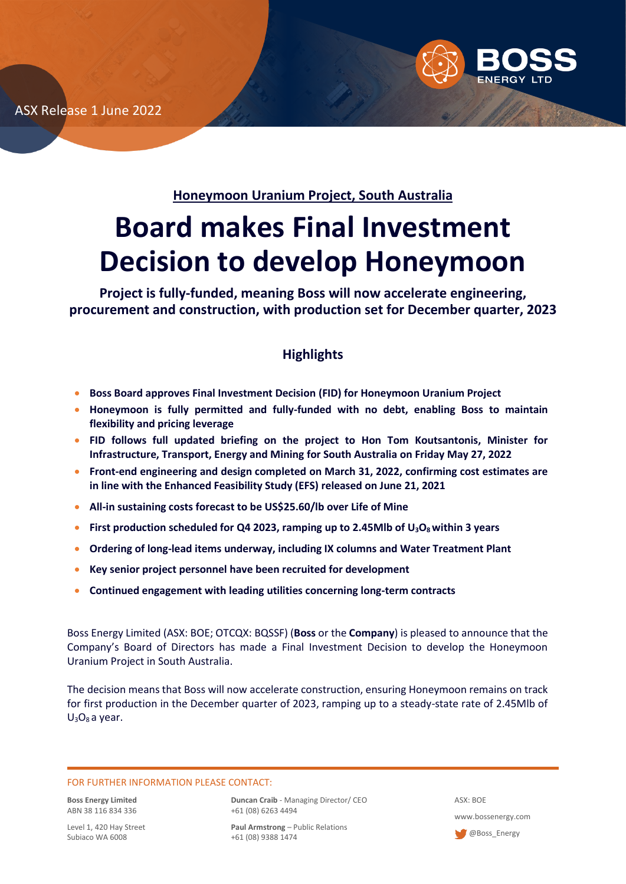ASX Release 1 June 2022



**Honeymoon Uranium Project, South Australia**

# **Board makes Final Investment Decision to develop Honeymoon**

**Project is fully-funded, meaning Boss will now accelerate engineering, procurement and construction, with production set for December quarter, 2023**

## **Highlights**

- **Boss Board approves Final Investment Decision (FID) for Honeymoon Uranium Project**
- **Honeymoon is fully permitted and fully-funded with no debt, enabling Boss to maintain flexibility and pricing leverage**
- **FID follows full updated briefing on the project to Hon Tom Koutsantonis, Minister for Infrastructure, Transport, Energy and Mining for South Australia on Friday May 27, 2022**
- **Front-end engineering and design completed on March 31, 2022, confirming cost estimates are in line with the Enhanced Feasibility Study (EFS) released on June 21, 2021**
- **All-in sustaining costs forecast to be US\$25.60/lb over Life of Mine**
- **First production scheduled for Q4 2023, ramping up to 2.45Mlb of U3O8within 3 years**
- **Ordering of long-lead items underway, including IX columns and Water Treatment Plant**
- **Key senior project personnel have been recruited for development**
- **Continued engagement with leading utilities concerning long-term contracts**

Boss Energy Limited (ASX: BOE; OTCQX: BQSSF) (**Boss** or the **Company**) is pleased to announce that the Company's Board of Directors has made a Final Investment Decision to develop the Honeymoon Uranium Project in South Australia.

The decision means that Boss will now accelerate construction, ensuring Honeymoon remains on track for first production in the December quarter of 2023, ramping up to a steady-state rate of 2.45Mlb of  $U_3O_8$  a year.

#### FOR FURTHER INFORMATION PLEASE CONTACT:

**Boss Energy Limited** ABN 38 116 834 336

Level 1, 420 Hay Street Subiaco WA 6008

**Duncan Craib** - Managing Director/ CEO +61 (08) 6263 4494

**Paul Armstrong** – Public Relations +61 (08) 9388 1474

ASX: BOE www.bossenergy.com **@Boss\_Energy**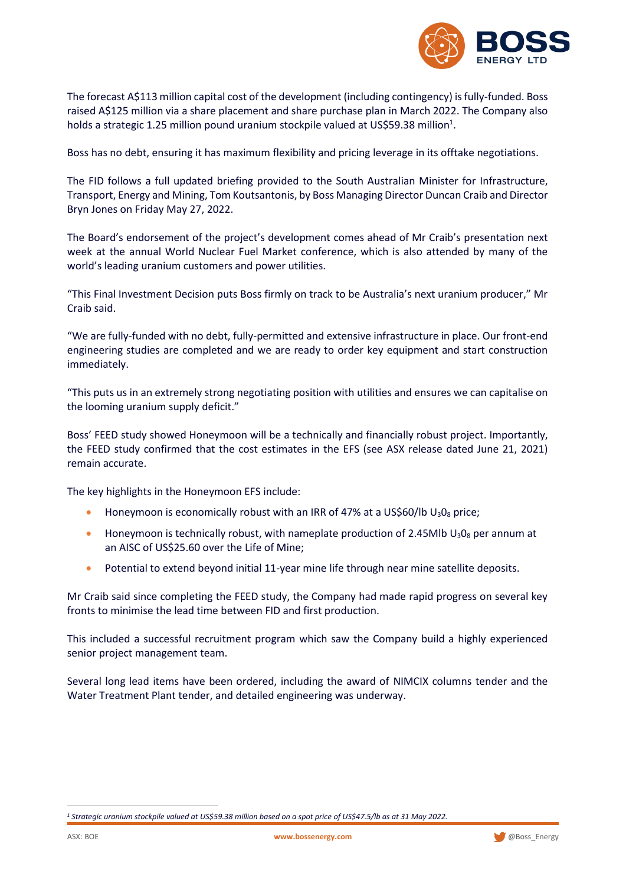

The forecast A\$113 million capital cost of the development (including contingency) is fully-funded. Boss raised A\$125 million via a share placement and share purchase plan in March 2022. The Company also holds a strategic 1.25 million pound uranium stockpile valued at US\$59.38 million<sup>1</sup>.

Boss has no debt, ensuring it has maximum flexibility and pricing leverage in its offtake negotiations.

The FID follows a full updated briefing provided to the South Australian Minister for Infrastructure, Transport, Energy and Mining, Tom Koutsantonis, by Boss Managing Director Duncan Craib and Director Bryn Jones on Friday May 27, 2022.

The Board's endorsement of the project's development comes ahead of Mr Craib's presentation next week at the annual World Nuclear Fuel Market conference, which is also attended by many of the world's leading uranium customers and power utilities.

"This Final Investment Decision puts Boss firmly on track to be Australia's next uranium producer," Mr Craib said.

"We are fully-funded with no debt, fully-permitted and extensive infrastructure in place. Our front-end engineering studies are completed and we are ready to order key equipment and start construction immediately.

"This puts us in an extremely strong negotiating position with utilities and ensures we can capitalise on the looming uranium supply deficit."

Boss' FEED study showed Honeymoon will be a technically and financially robust project. Importantly, the FEED study confirmed that the cost estimates in the EFS (see ASX release dated June 21, 2021) remain accurate.

The key highlights in the Honeymoon EFS include:

- Honeymoon is economically robust with an IRR of 47% at a US\$60/lb  $U_3O_8$  price;
- Honeymoon is technically robust, with nameplate production of 2.45Mlb  $U_3O_8$  per annum at an AISC of US\$25.60 over the Life of Mine;
- Potential to extend beyond initial 11-year mine life through near mine satellite deposits.

Mr Craib said since completing the FEED study, the Company had made rapid progress on several key fronts to minimise the lead time between FID and first production.

This included a successful recruitment program which saw the Company build a highly experienced senior project management team.

Several long lead items have been ordered, including the award of NIMCIX columns tender and the Water Treatment Plant tender, and detailed engineering was underway.



*<sup>1</sup> Strategic uranium stockpile valued at US\$59.38 million based on a spot price of US\$47.5/lb as at 31 May 2022.*